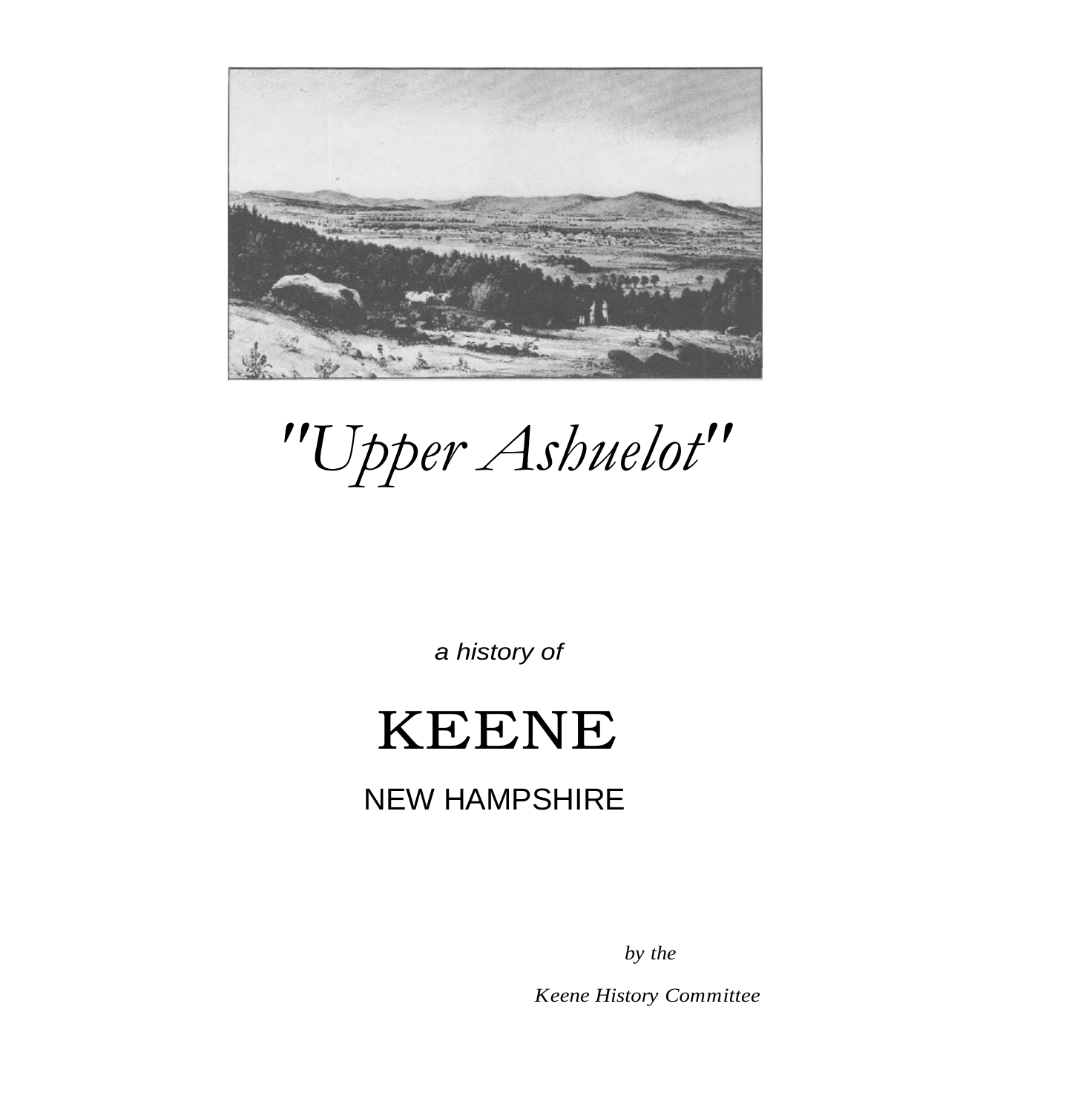

*"Upper Ashuelot"*

*a history of*

## KEENE

## NEW HAMPSHIRE

*by the*

*Keene History Committee*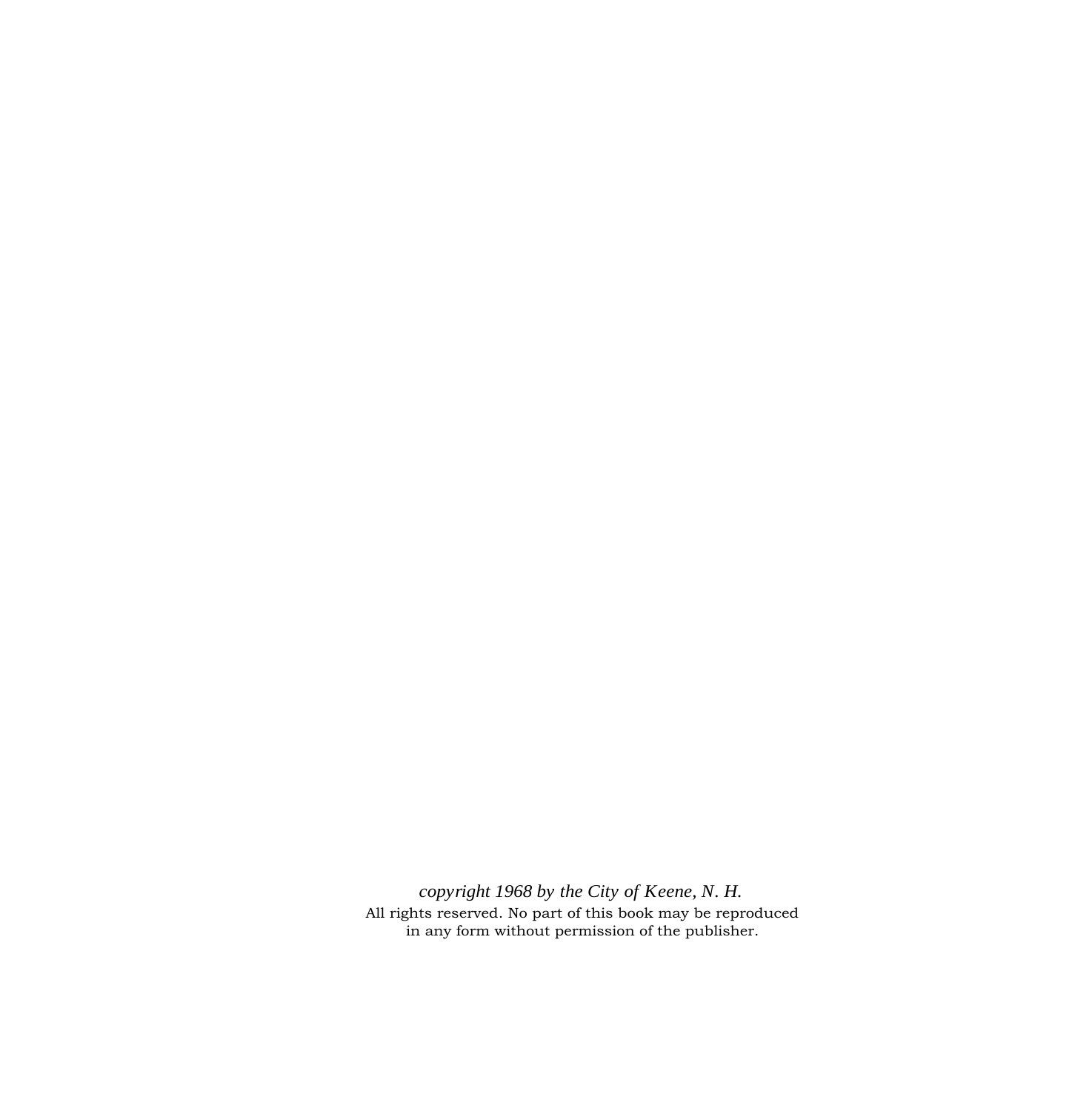*copyright 1968 by the City of Keene, N. H.* All rights reserved. No part of this book may be reproduced in any form without permission of the publisher.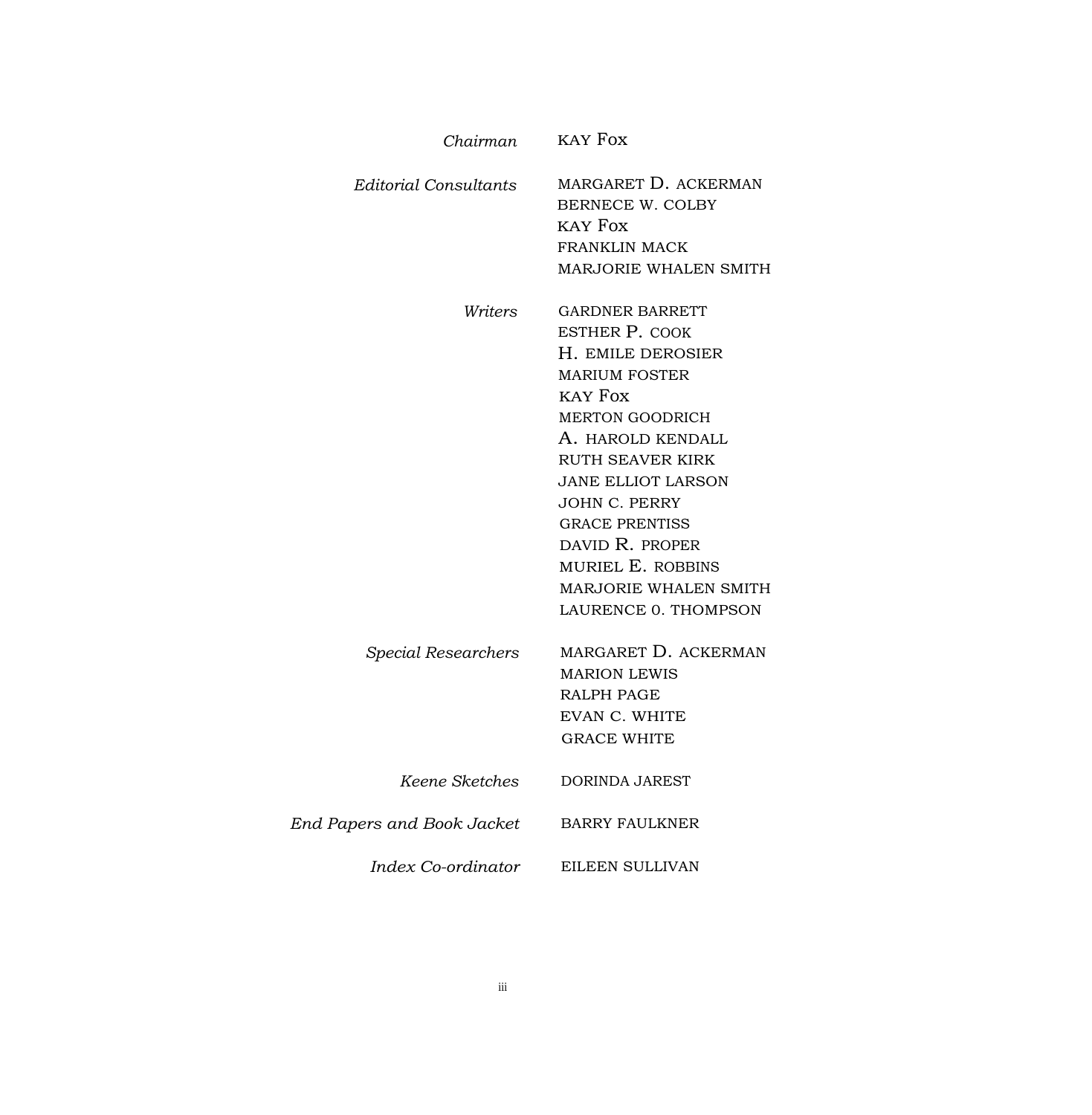| Chairman                   | KAY Fox                                                                                                                                                                                                                                                                                                                                           |
|----------------------------|---------------------------------------------------------------------------------------------------------------------------------------------------------------------------------------------------------------------------------------------------------------------------------------------------------------------------------------------------|
| Editorial Consultants      | MARGARET D. ACKERMAN<br><b>BERNECE W. COLBY</b><br>KAY Fox<br><b>FRANKLIN MACK</b><br>MARJORIE WHALEN SMITH                                                                                                                                                                                                                                       |
| Writers                    | <b>GARDNER BARRETT</b><br><b>ESTHER P. COOK</b><br>H. EMILE DEROSIER<br><b>MARIUM FOSTER</b><br>KAY Fox<br><b>MERTON GOODRICH</b><br>A. HAROLD KENDALL<br>RUTH SEAVER KIRK<br>JANE ELLIOT LARSON<br><b>JOHN C. PERRY</b><br><b>GRACE PRENTISS</b><br>DAVID R. PROPER<br>MURIEL E. ROBBINS<br><b>MARJORIE WHALEN SMITH</b><br>LAURENCE 0. THOMPSON |
| Special Researchers        | MARGARET D. ACKERMAN<br><b>MARION LEWIS</b><br>RALPH PAGE<br><b>EVAN C. WHITE</b><br><b>GRACE WHITE</b>                                                                                                                                                                                                                                           |
| Keene Sketches             | DORINDA JAREST                                                                                                                                                                                                                                                                                                                                    |
| End Papers and Book Jacket | <b>BARRY FAULKNER</b>                                                                                                                                                                                                                                                                                                                             |
| Index Co-ordinator         | EILEEN SULLIVAN                                                                                                                                                                                                                                                                                                                                   |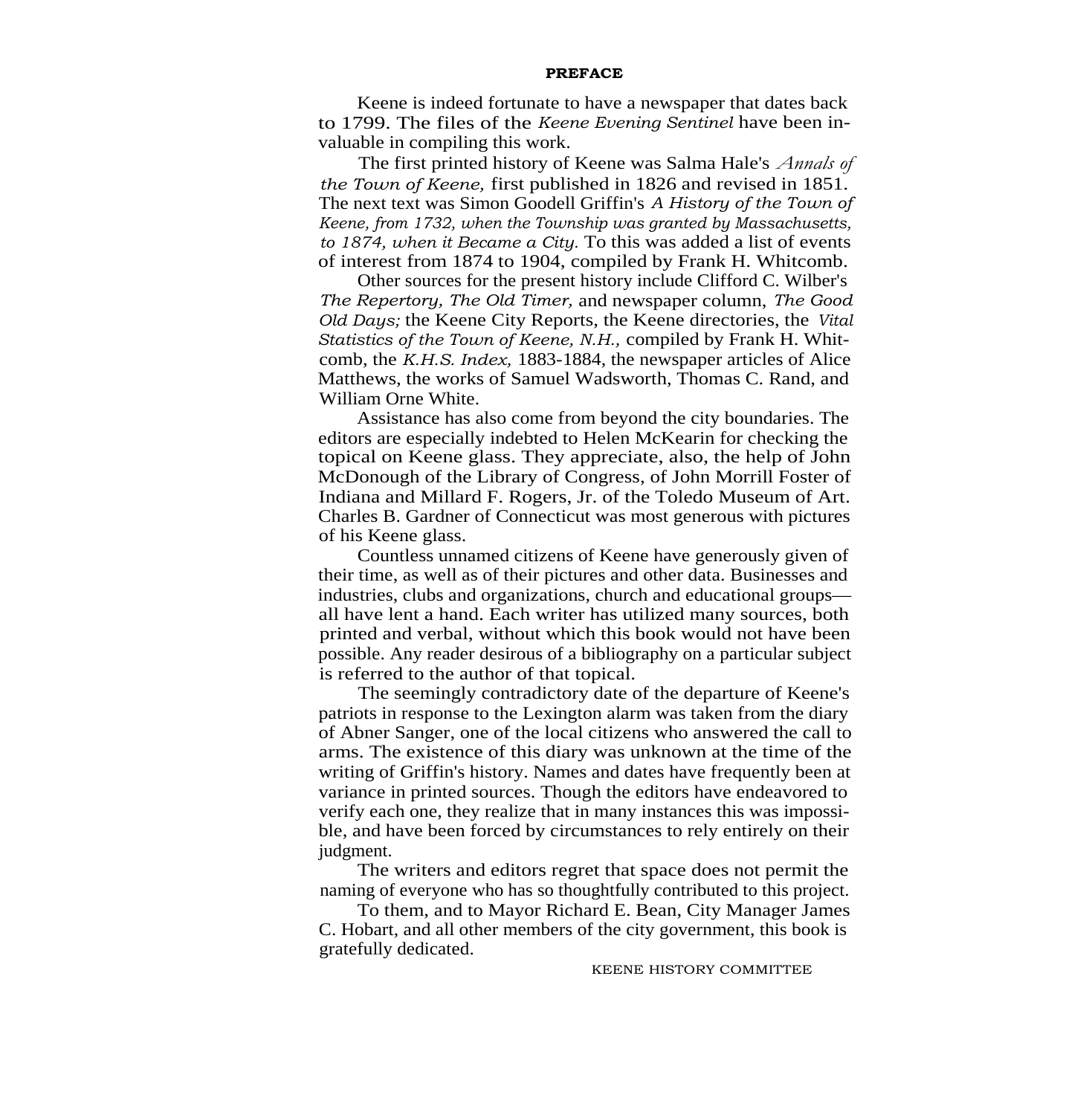## **PREFACE**

Keene is indeed fortunate to have a newspaper that dates back to 1799. The files of the *Keene Evening Sentinel* have been invaluable in compiling this work.

The first printed history of Keene was Salma Hale's *Annals of the Town of Keene,* first published in 1826 and revised in 1851. The next text was Simon Goodell Griffin's *A History of the Town of Keene, from 1732, when the Township was granted by Massachusetts, to 1874, when it Became a City.* To this was added a list of events of interest from 1874 to 1904, compiled by Frank H. Whitcomb.

Other sources for the present history include Clifford C. Wilber's *The Repertory, The Old Timer,* and newspaper column, *The Good Old Days;* the Keene City Reports, the Keene directories, the *Vital Statistics of the Town of Keene, N.H.,* compiled by Frank H. Whitcomb, the *K.H.S. Index,* 1883-1884, the newspaper articles of Alice Matthews, the works of Samuel Wadsworth, Thomas C. Rand, and William Orne White.

Assistance has also come from beyond the city boundaries. The editors are especially indebted to Helen McKearin for checking the topical on Keene glass. They appreciate, also, the help of John McDonough of the Library of Congress, of John Morrill Foster of Indiana and Millard F. Rogers, Jr. of the Toledo Museum of Art. Charles B. Gardner of Connecticut was most generous with pictures of his Keene glass.

Countless unnamed citizens of Keene have generously given of their time, as well as of their pictures and other data. Businesses and industries, clubs and organizations, church and educational groups all have lent a hand. Each writer has utilized many sources, both printed and verbal, without which this book would not have been possible. Any reader desirous of a bibliography on a particular subject is referred to the author of that topical.

The seemingly contradictory date of the departure of Keene's patriots in response to the Lexington alarm was taken from the diary of Abner Sanger, one of the local citizens who answered the call to arms. The existence of this diary was unknown at the time of the writing of Griffin's history. Names and dates have frequently been at variance in printed sources. Though the editors have endeavored to verify each one, they realize that in many instances this was impossible, and have been forced by circumstances to rely entirely on their judgment.

The writers and editors regret that space does not permit the naming of everyone who has so thoughtfully contributed to this project.

To them, and to Mayor Richard E. Bean, City Manager James C. Hobart, and all other members of the city government, this book is gratefully dedicated.